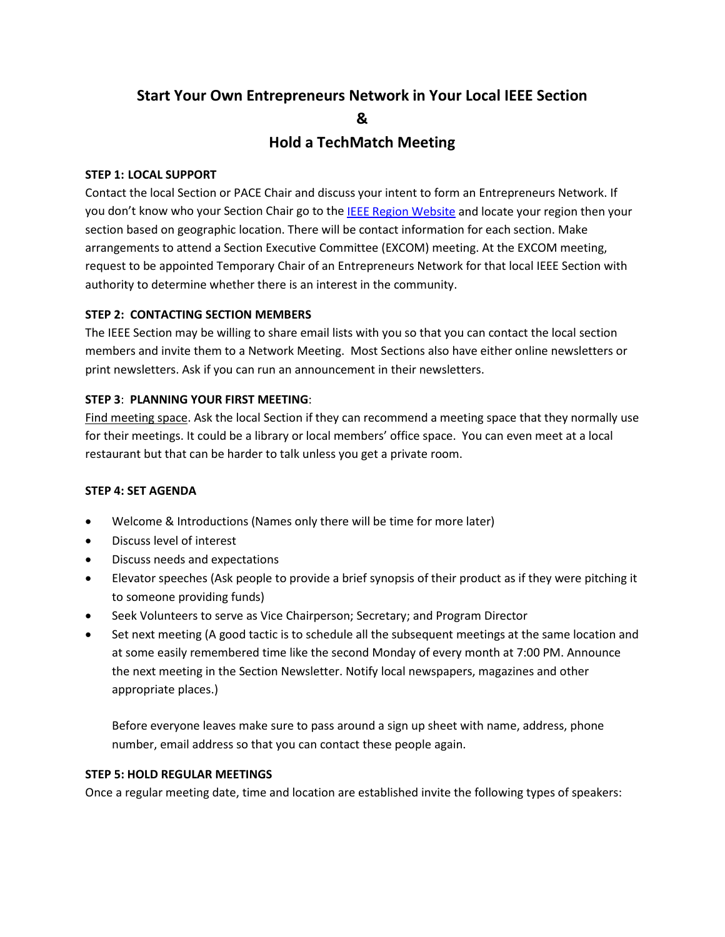# **Start Your Own Entrepreneurs Network in Your Local IEEE Section & Hold a TechMatch Meeting**

## **STEP 1: LOCAL SUPPORT**

Contact the local Section or PACE Chair and discuss your intent to form an Entrepreneurs Network. If you don't know who your Section Chair go to the [IEEE Region Website](http://www.ieee.org/societies_communities/geo_activities/regional_world_map.html) and locate your region then your section based on geographic location. There will be contact information for each section. Make arrangements to attend a Section Executive Committee (EXCOM) meeting. At the EXCOM meeting, request to be appointed Temporary Chair of an Entrepreneurs Network for that local IEEE Section with authority to determine whether there is an interest in the community.

# **STEP 2: CONTACTING SECTION MEMBERS**

The IEEE Section may be willing to share email lists with you so that you can contact the local section members and invite them to a Network Meeting. Most Sections also have either online newsletters or print newsletters. Ask if you can run an announcement in their newsletters.

# **STEP 3**: **PLANNING YOUR FIRST MEETING**:

Find meeting space. Ask the local Section if they can recommend a meeting space that they normally use for their meetings. It could be a library or local members' office space. You can even meet at a local restaurant but that can be harder to talk unless you get a private room.

### **STEP 4: SET AGENDA**

- Welcome & Introductions (Names only there will be time for more later)
- Discuss level of interest
- Discuss needs and expectations
- Elevator speeches (Ask people to provide a brief synopsis of their product as if they were pitching it to someone providing funds)
- Seek Volunteers to serve as Vice Chairperson; Secretary; and Program Director
- Set next meeting (A good tactic is to schedule all the subsequent meetings at the same location and at some easily remembered time like the second Monday of every month at 7:00 PM. Announce the next meeting in the Section Newsletter. Notify local newspapers, magazines and other appropriate places.)

Before everyone leaves make sure to pass around a sign up sheet with name, address, phone number, email address so that you can contact these people again.

### **STEP 5: HOLD REGULAR MEETINGS**

Once a regular meeting date, time and location are established invite the following types of speakers: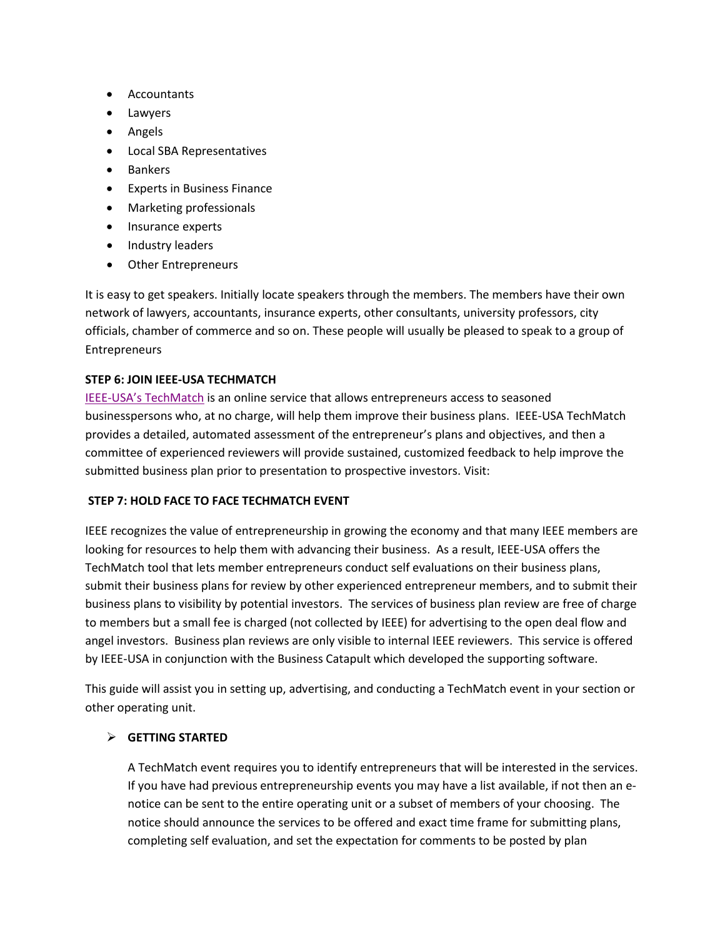- Accountants
- Lawyers
- Angels
- Local SBA Representatives
- Bankers
- Experts in Business Finance
- Marketing professionals
- Insurance experts
- Industry leaders
- Other Entrepreneurs

It is easy to get speakers. Initially locate speakers through the members. The members have their own network of lawyers, accountants, insurance experts, other consultants, university professors, city officials, chamber of commerce and so on. These people will usually be pleased to speak to a group of Entrepreneurs

### **STEP 6: JOIN IEEE-USA TECHMATCH**

[IEEE-USA's TechMatch](https://businesscatapult.com/refcode/ieeeusa) is an online service that allows entrepreneurs access to seasoned businesspersons who, at no charge, will help them improve their business plans. IEEE-USA TechMatch provides a detailed, automated assessment of the entrepreneur's plans and objectives, and then a committee of experienced reviewers will provide sustained, customized feedback to help improve the submitted business plan prior to presentation to prospective investors. Visit:

### **STEP 7: HOLD FACE TO FACE TECHMATCH EVENT**

IEEE recognizes the value of entrepreneurship in growing the economy and that many IEEE members are looking for resources to help them with advancing their business. As a result, IEEE-USA offers the TechMatch tool that lets member entrepreneurs conduct self evaluations on their business plans, submit their business plans for review by other experienced entrepreneur members, and to submit their business plans to visibility by potential investors. The services of business plan review are free of charge to members but a small fee is charged (not collected by IEEE) for advertising to the open deal flow and angel investors. Business plan reviews are only visible to internal IEEE reviewers. This service is offered by IEEE-USA in conjunction with the Business Catapult which developed the supporting software.

This guide will assist you in setting up, advertising, and conducting a TechMatch event in your section or other operating unit.

### **GETTING STARTED**

A TechMatch event requires you to identify entrepreneurs that will be interested in the services. If you have had previous entrepreneurship events you may have a list available, if not then an enotice can be sent to the entire operating unit or a subset of members of your choosing. The notice should announce the services to be offered and exact time frame for submitting plans, completing self evaluation, and set the expectation for comments to be posted by plan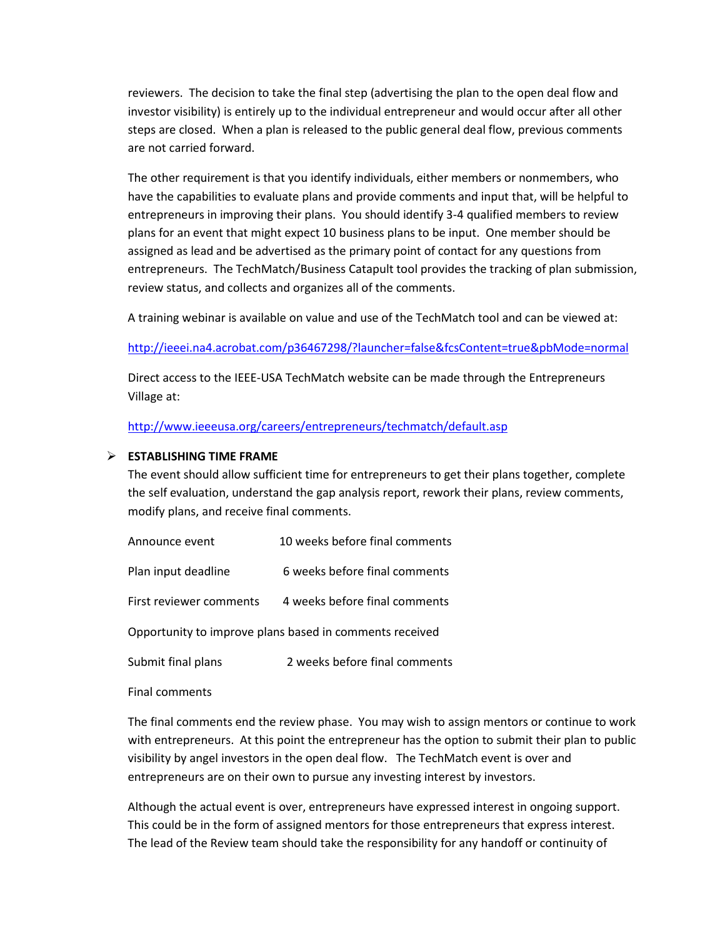reviewers. The decision to take the final step (advertising the plan to the open deal flow and investor visibility) is entirely up to the individual entrepreneur and would occur after all other steps are closed. When a plan is released to the public general deal flow, previous comments are not carried forward.

The other requirement is that you identify individuals, either members or nonmembers, who have the capabilities to evaluate plans and provide comments and input that, will be helpful to entrepreneurs in improving their plans. You should identify 3-4 qualified members to review plans for an event that might expect 10 business plans to be input. One member should be assigned as lead and be advertised as the primary point of contact for any questions from entrepreneurs. The TechMatch/Business Catapult tool provides the tracking of plan submission, review status, and collects and organizes all of the comments.

A training webinar is available on value and use of the TechMatch tool and can be viewed at:

<http://ieeei.na4.acrobat.com/p36467298/?launcher=false&fcsContent=true&pbMode=normal>

Direct access to the IEEE-USA TechMatch website can be made through the Entrepreneurs Village at:

<http://www.ieeeusa.org/careers/entrepreneurs/techmatch/default.asp>

#### **ESTABLISHING TIME FRAME**

The event should allow sufficient time for entrepreneurs to get their plans together, complete the self evaluation, understand the gap analysis report, rework their plans, review comments, modify plans, and receive final comments.

| Announce event                                          | 10 weeks before final comments |
|---------------------------------------------------------|--------------------------------|
| Plan input deadline                                     | 6 weeks before final comments  |
| First reviewer comments                                 | 4 weeks before final comments  |
| Opportunity to improve plans based in comments received |                                |
| Submit final plans                                      | 2 weeks before final comments  |

Final comments

The final comments end the review phase. You may wish to assign mentors or continue to work with entrepreneurs. At this point the entrepreneur has the option to submit their plan to public visibility by angel investors in the open deal flow. The TechMatch event is over and entrepreneurs are on their own to pursue any investing interest by investors.

Although the actual event is over, entrepreneurs have expressed interest in ongoing support. This could be in the form of assigned mentors for those entrepreneurs that express interest. The lead of the Review team should take the responsibility for any handoff or continuity of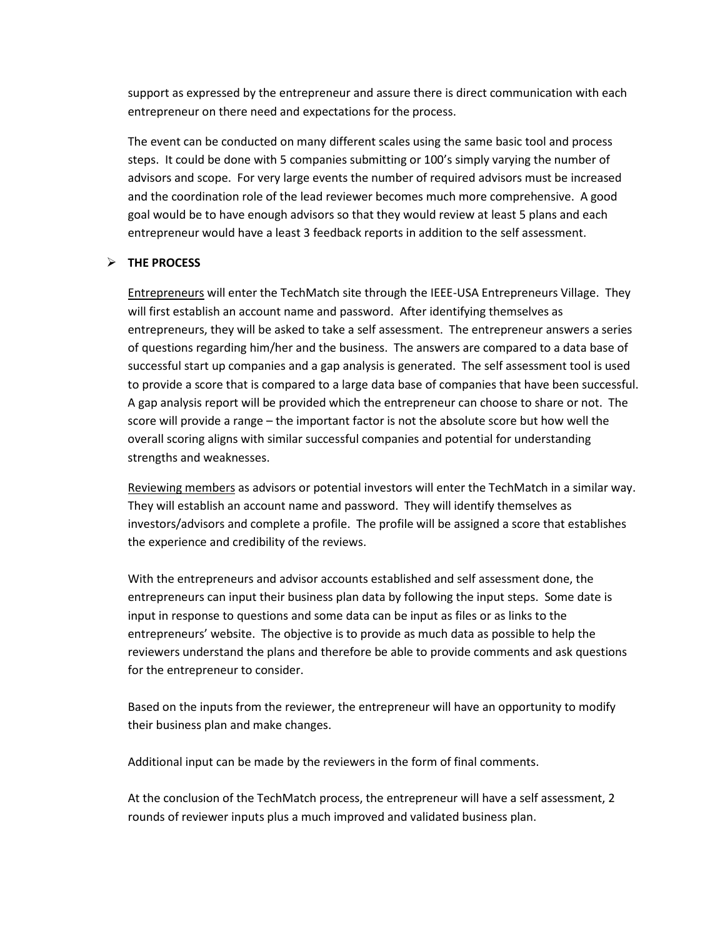support as expressed by the entrepreneur and assure there is direct communication with each entrepreneur on there need and expectations for the process.

The event can be conducted on many different scales using the same basic tool and process steps. It could be done with 5 companies submitting or 100's simply varying the number of advisors and scope. For very large events the number of required advisors must be increased and the coordination role of the lead reviewer becomes much more comprehensive. A good goal would be to have enough advisors so that they would review at least 5 plans and each entrepreneur would have a least 3 feedback reports in addition to the self assessment.

### **THE PROCESS**

Entrepreneurs will enter the TechMatch site through the IEEE-USA Entrepreneurs Village. They will first establish an account name and password. After identifying themselves as entrepreneurs, they will be asked to take a self assessment. The entrepreneur answers a series of questions regarding him/her and the business. The answers are compared to a data base of successful start up companies and a gap analysis is generated. The self assessment tool is used to provide a score that is compared to a large data base of companies that have been successful. A gap analysis report will be provided which the entrepreneur can choose to share or not. The score will provide a range – the important factor is not the absolute score but how well the overall scoring aligns with similar successful companies and potential for understanding strengths and weaknesses.

Reviewing members as advisors or potential investors will enter the TechMatch in a similar way. They will establish an account name and password. They will identify themselves as investors/advisors and complete a profile. The profile will be assigned a score that establishes the experience and credibility of the reviews.

With the entrepreneurs and advisor accounts established and self assessment done, the entrepreneurs can input their business plan data by following the input steps. Some date is input in response to questions and some data can be input as files or as links to the entrepreneurs' website. The objective is to provide as much data as possible to help the reviewers understand the plans and therefore be able to provide comments and ask questions for the entrepreneur to consider.

Based on the inputs from the reviewer, the entrepreneur will have an opportunity to modify their business plan and make changes.

Additional input can be made by the reviewers in the form of final comments.

At the conclusion of the TechMatch process, the entrepreneur will have a self assessment, 2 rounds of reviewer inputs plus a much improved and validated business plan.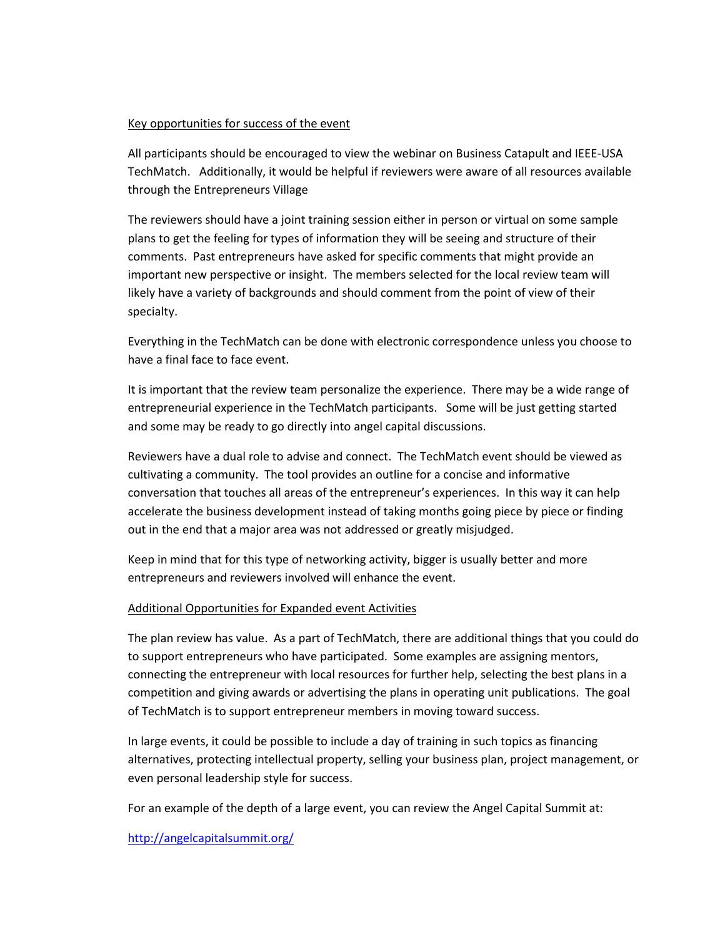### Key opportunities for success of the event

All participants should be encouraged to view the webinar on Business Catapult and IEEE-USA TechMatch. Additionally, it would be helpful if reviewers were aware of all resources available through the Entrepreneurs Village

The reviewers should have a joint training session either in person or virtual on some sample plans to get the feeling for types of information they will be seeing and structure of their comments. Past entrepreneurs have asked for specific comments that might provide an important new perspective or insight. The members selected for the local review team will likely have a variety of backgrounds and should comment from the point of view of their specialty.

Everything in the TechMatch can be done with electronic correspondence unless you choose to have a final face to face event.

It is important that the review team personalize the experience. There may be a wide range of entrepreneurial experience in the TechMatch participants. Some will be just getting started and some may be ready to go directly into angel capital discussions.

Reviewers have a dual role to advise and connect. The TechMatch event should be viewed as cultivating a community. The tool provides an outline for a concise and informative conversation that touches all areas of the entrepreneur's experiences. In this way it can help accelerate the business development instead of taking months going piece by piece or finding out in the end that a major area was not addressed or greatly misjudged.

Keep in mind that for this type of networking activity, bigger is usually better and more entrepreneurs and reviewers involved will enhance the event.

### Additional Opportunities for Expanded event Activities

The plan review has value. As a part of TechMatch, there are additional things that you could do to support entrepreneurs who have participated. Some examples are assigning mentors, connecting the entrepreneur with local resources for further help, selecting the best plans in a competition and giving awards or advertising the plans in operating unit publications. The goal of TechMatch is to support entrepreneur members in moving toward success.

In large events, it could be possible to include a day of training in such topics as financing alternatives, protecting intellectual property, selling your business plan, project management, or even personal leadership style for success.

For an example of the depth of a large event, you can review the Angel Capital Summit at:

<http://angelcapitalsummit.org/>